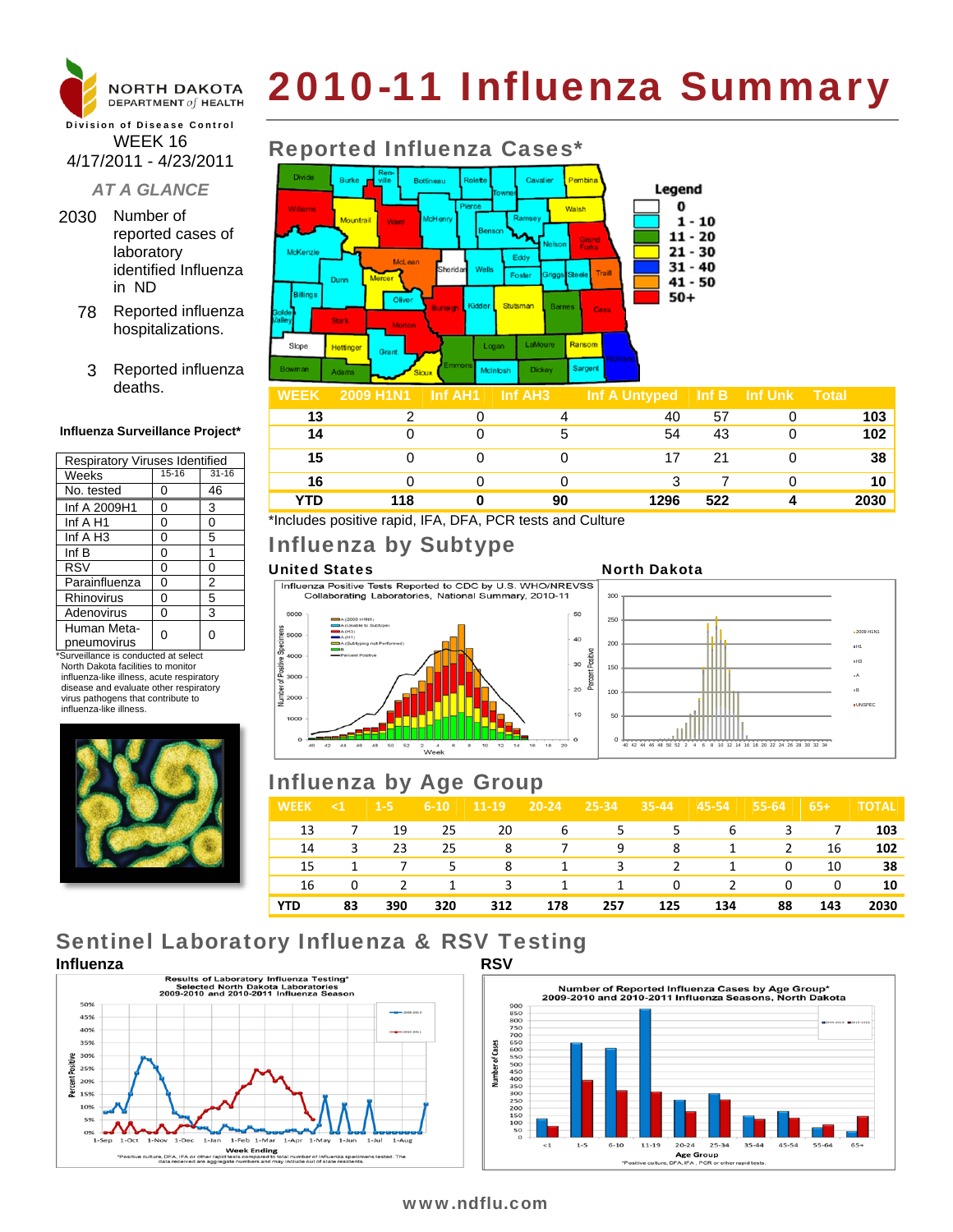

# 2010-11 Influenza Summary

#### Division of Disease Control WEEK 16 4/17/2011 - 4/23/2011

### *AT A GLANCE*

- 2030 Number of reported cases of laboratory identified Influenza in ND
	- 78 Reported influenza hospitalizations.
	- 3 Reported influenza deaths.

#### **Influenza Surveillance Project\***

| Respiratory Viruses Identified |           |                |  |  |  |  |  |
|--------------------------------|-----------|----------------|--|--|--|--|--|
| Weeks                          | $15 - 16$ | $31 - 16$      |  |  |  |  |  |
| No. tested                     | 0         | 46             |  |  |  |  |  |
| Inf A 2009H1                   | 0         | 3              |  |  |  |  |  |
| Inf $A$ H <sub>1</sub>         | 0         | 0              |  |  |  |  |  |
| Inf $A$ H <sub>3</sub>         | 0         | 5              |  |  |  |  |  |
| Inf $B$                        | 0         | 1              |  |  |  |  |  |
| <b>RSV</b>                     | 0         | 0              |  |  |  |  |  |
| Parainfluenza                  | 0         | $\overline{2}$ |  |  |  |  |  |
| <b>Rhinovirus</b>              | 0         | 5              |  |  |  |  |  |
| Adenovirus                     | 0         | 3              |  |  |  |  |  |
| Human Meta-<br>pneumovirus     | ი         | 0              |  |  |  |  |  |

\*Surveillance is conducted at select North Dakota facilities to monitor influenza-like illness, acute respiratory disease and evaluate other respiratory virus pathogens that contribute to influenza-like illness.



### Reported Influenza Cases\*



| weer | <b>EUVERTHE</b> IIII AND <b>IIII</b> AND |    | $\ln A$ Unityped $\ln B$ $\ln B$ Unit Utik $\ln B$ |     |                  |
|------|------------------------------------------|----|----------------------------------------------------|-----|------------------|
| 13   |                                          |    | 40                                                 | 57  | 103              |
| 14   |                                          |    | 54                                                 | 43  | 102 <sub>1</sub> |
| 15   |                                          |    |                                                    | 21  | 38               |
| 16   |                                          |    |                                                    |     | 10               |
| YTD  | 118                                      | 90 | 1296                                               | 522 | 2030             |

\*Includes positive rapid, IFA, DFA, PCR tests and Culture

## Influenza by Subtype

United States<br>
Influenza Positive Tests Reported to CDC by U.S. WHO/NREVSS<br>
Collaborating Laboratories, National Summary, 2010-11







## Influenza by Age Group

| <b>WEEK</b> | $\leq 1$ | $1-5$ | $6 - 10$ | 11-19 | $20 - 24$ | 25-34 | $35 - 44$ | $45 - 54$     | 55-64 | $65+$ | <b>TOTAL</b> |
|-------------|----------|-------|----------|-------|-----------|-------|-----------|---------------|-------|-------|--------------|
| 13          | 7        | 19    | 25       | 20    | 6         | 5.    | 5         | 6             | 3     | 7     | 103          |
| 14          | 3        | 23    | 25       | 8     | 7         | 9     | 8         | 1             | 2     | 16    | 102          |
| 15          |          | 7     | 5.       | 8     | 1         | 3     | 2         | 1             | 0     | 10    | 38           |
| 16          | 0        | 2     | 1        | 3     | 1         | 1     | $\Omega$  | $\mathcal{L}$ | 0     | 0     | 10           |
| <b>YTD</b>  | 83       | 390   | 320      | 312   | 178       | 257   | 125       | 134           | 88    | 143   | 2030         |

## Sentinel Laboratory Influenza & RSV Testing





### www.ndflu.com